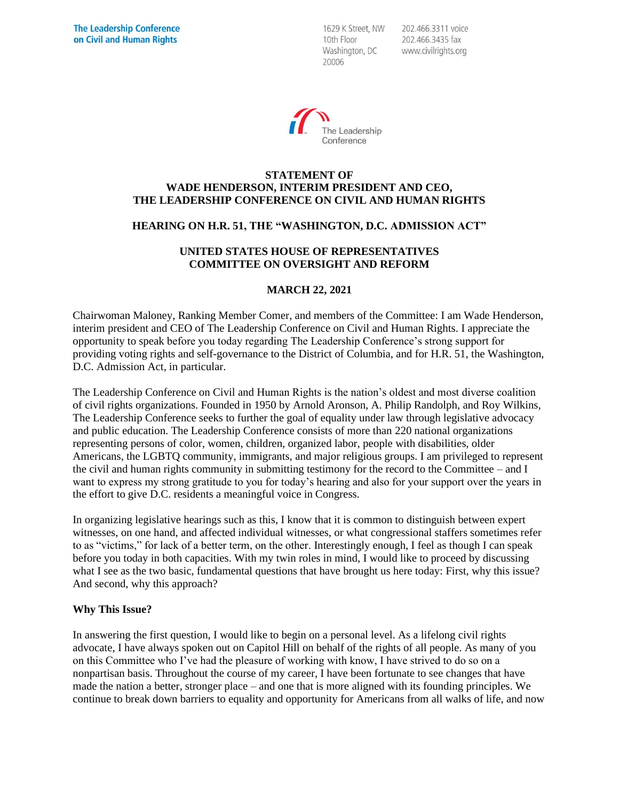1629 K Street, NW 10th Floor Washington, DC 20006

202.466.3311 voice 202.466.3435 fax www.civilrights.org



## **STATEMENT OF WADE HENDERSON, INTERIM PRESIDENT AND CEO, THE LEADERSHIP CONFERENCE ON CIVIL AND HUMAN RIGHTS**

## **HEARING ON H.R. 51, THE "WASHINGTON, D.C. ADMISSION ACT"**

# **UNITED STATES HOUSE OF REPRESENTATIVES COMMITTEE ON OVERSIGHT AND REFORM**

## **MARCH 22, 2021**

Chairwoman Maloney, Ranking Member Comer, and members of the Committee: I am Wade Henderson, interim president and CEO of The Leadership Conference on Civil and Human Rights. I appreciate the opportunity to speak before you today regarding The Leadership Conference's strong support for providing voting rights and self-governance to the District of Columbia, and for H.R. 51, the Washington, D.C. Admission Act, in particular.

The Leadership Conference on Civil and Human Rights is the nation's oldest and most diverse coalition of civil rights organizations. Founded in 1950 by Arnold Aronson, A. Philip Randolph, and Roy Wilkins, The Leadership Conference seeks to further the goal of equality under law through legislative advocacy and public education. The Leadership Conference consists of more than 220 national organizations representing persons of color, women, children, organized labor, people with disabilities, older Americans, the LGBTQ community, immigrants, and major religious groups. I am privileged to represent the civil and human rights community in submitting testimony for the record to the Committee – and I want to express my strong gratitude to you for today's hearing and also for your support over the years in the effort to give D.C. residents a meaningful voice in Congress.

In organizing legislative hearings such as this, I know that it is common to distinguish between expert witnesses, on one hand, and affected individual witnesses, or what congressional staffers sometimes refer to as "victims," for lack of a better term, on the other. Interestingly enough, I feel as though I can speak before you today in both capacities. With my twin roles in mind, I would like to proceed by discussing what I see as the two basic, fundamental questions that have brought us here today: First, why this issue? And second, why this approach?

## **Why This Issue?**

In answering the first question, I would like to begin on a personal level. As a lifelong civil rights advocate, I have always spoken out on Capitol Hill on behalf of the rights of all people. As many of you on this Committee who I've had the pleasure of working with know, I have strived to do so on a nonpartisan basis. Throughout the course of my career, I have been fortunate to see changes that have made the nation a better, stronger place – and one that is more aligned with its founding principles. We continue to break down barriers to equality and opportunity for Americans from all walks of life, and now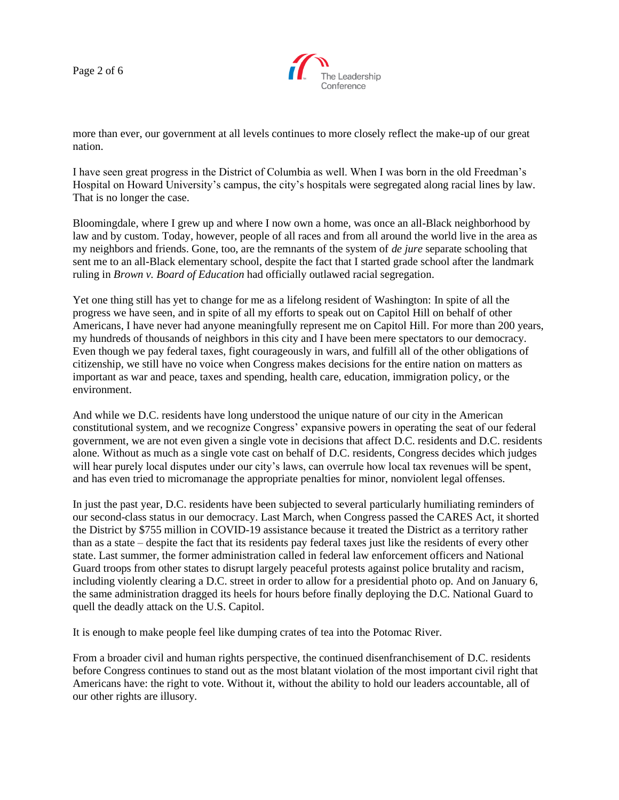Page 2 of 6



more than ever, our government at all levels continues to more closely reflect the make-up of our great nation.

I have seen great progress in the District of Columbia as well. When I was born in the old Freedman's Hospital on Howard University's campus, the city's hospitals were segregated along racial lines by law. That is no longer the case.

Bloomingdale, where I grew up and where I now own a home, was once an all-Black neighborhood by law and by custom. Today, however, people of all races and from all around the world live in the area as my neighbors and friends. Gone, too, are the remnants of the system of *de jure* separate schooling that sent me to an all-Black elementary school, despite the fact that I started grade school after the landmark ruling in *Brown v. Board of Education* had officially outlawed racial segregation.

Yet one thing still has yet to change for me as a lifelong resident of Washington: In spite of all the progress we have seen, and in spite of all my efforts to speak out on Capitol Hill on behalf of other Americans, I have never had anyone meaningfully represent me on Capitol Hill. For more than 200 years, my hundreds of thousands of neighbors in this city and I have been mere spectators to our democracy. Even though we pay federal taxes, fight courageously in wars, and fulfill all of the other obligations of citizenship, we still have no voice when Congress makes decisions for the entire nation on matters as important as war and peace, taxes and spending, health care, education, immigration policy, or the environment.

And while we D.C. residents have long understood the unique nature of our city in the American constitutional system, and we recognize Congress' expansive powers in operating the seat of our federal government, we are not even given a single vote in decisions that affect D.C. residents and D.C. residents alone. Without as much as a single vote cast on behalf of D.C. residents, Congress decides which judges will hear purely local disputes under our city's laws, can overrule how local tax revenues will be spent, and has even tried to micromanage the appropriate penalties for minor, nonviolent legal offenses.

In just the past year, D.C. residents have been subjected to several particularly humiliating reminders of our second-class status in our democracy. Last March, when Congress passed the CARES Act, it shorted the District by \$755 million in COVID-19 assistance because it treated the District as a territory rather than as a state – despite the fact that its residents pay federal taxes just like the residents of every other state. Last summer, the former administration called in federal law enforcement officers and National Guard troops from other states to disrupt largely peaceful protests against police brutality and racism, including violently clearing a D.C. street in order to allow for a presidential photo op. And on January 6, the same administration dragged its heels for hours before finally deploying the D.C. National Guard to quell the deadly attack on the U.S. Capitol.

It is enough to make people feel like dumping crates of tea into the Potomac River.

From a broader civil and human rights perspective, the continued disenfranchisement of D.C. residents before Congress continues to stand out as the most blatant violation of the most important civil right that Americans have: the right to vote. Without it, without the ability to hold our leaders accountable, all of our other rights are illusory.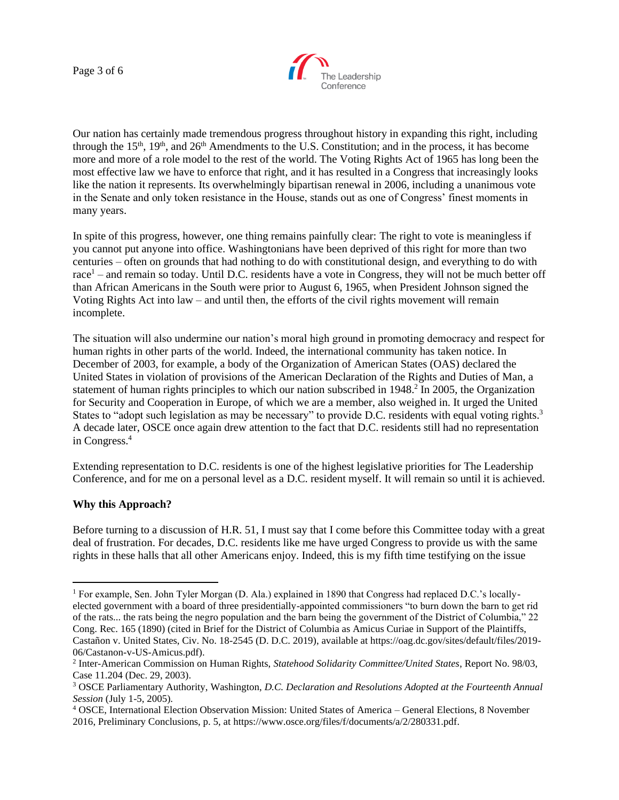Page 3 of 6



Our nation has certainly made tremendous progress throughout history in expanding this right, including through the  $15<sup>th</sup>$ ,  $19<sup>th</sup>$ , and  $26<sup>th</sup>$  Amendments to the U.S. Constitution; and in the process, it has become more and more of a role model to the rest of the world. The Voting Rights Act of 1965 has long been the most effective law we have to enforce that right, and it has resulted in a Congress that increasingly looks like the nation it represents. Its overwhelmingly bipartisan renewal in 2006, including a unanimous vote in the Senate and only token resistance in the House, stands out as one of Congress' finest moments in many years.

In spite of this progress, however, one thing remains painfully clear: The right to vote is meaningless if you cannot put anyone into office. Washingtonians have been deprived of this right for more than two centuries – often on grounds that had nothing to do with constitutional design, and everything to do with  $r \cdot \text{rac}$  – and remain so today. Until D.C. residents have a vote in Congress, they will not be much better off than African Americans in the South were prior to August 6, 1965, when President Johnson signed the Voting Rights Act into law – and until then, the efforts of the civil rights movement will remain incomplete.

The situation will also undermine our nation's moral high ground in promoting democracy and respect for human rights in other parts of the world. Indeed, the international community has taken notice. In December of 2003, for example, a body of the Organization of American States (OAS) declared the United States in violation of provisions of the American Declaration of the Rights and Duties of Man, a statement of human rights principles to which our nation subscribed in 1948.<sup>2</sup> In 2005, the Organization for Security and Cooperation in Europe, of which we are a member, also weighed in. It urged the United States to "adopt such legislation as may be necessary" to provide D.C. residents with equal voting rights.<sup>3</sup> A decade later, OSCE once again drew attention to the fact that D.C. residents still had no representation in Congress.<sup>4</sup>

Extending representation to D.C. residents is one of the highest legislative priorities for The Leadership Conference, and for me on a personal level as a D.C. resident myself. It will remain so until it is achieved.

## **Why this Approach?**

Before turning to a discussion of H.R. 51, I must say that I come before this Committee today with a great deal of frustration. For decades, D.C. residents like me have urged Congress to provide us with the same rights in these halls that all other Americans enjoy. Indeed, this is my fifth time testifying on the issue

<sup>1</sup> For example, Sen. John Tyler Morgan (D. Ala.) explained in 1890 that Congress had replaced D.C.'s locallyelected government with a board of three presidentially-appointed commissioners "to burn down the barn to get rid of the rats... the rats being the negro population and the barn being the government of the District of Columbia," 22 Cong. Rec. 165 (1890) (cited in Brief for the District of Columbia as Amicus Curiae in Support of the Plaintiffs, Castañon v. United States, Civ. No. 18-2545 (D. D.C. 2019), available at https://oag.dc.gov/sites/default/files/2019- 06/Castanon-v-US-Amicus.pdf).

<sup>2</sup> Inter-American Commission on Human Rights, *Statehood Solidarity Committee/United States*, Report No. 98/03, Case 11.204 (Dec. 29, 2003).

<sup>3</sup> OSCE Parliamentary Authority, Washington, *D.C. Declaration and Resolutions Adopted at the Fourteenth Annual Session* (July 1-5, 2005).

<sup>4</sup> OSCE, International Election Observation Mission: United States of America – General Elections, 8 November 2016, Preliminary Conclusions, p. 5, at https://www.osce.org/files/f/documents/a/2/280331.pdf.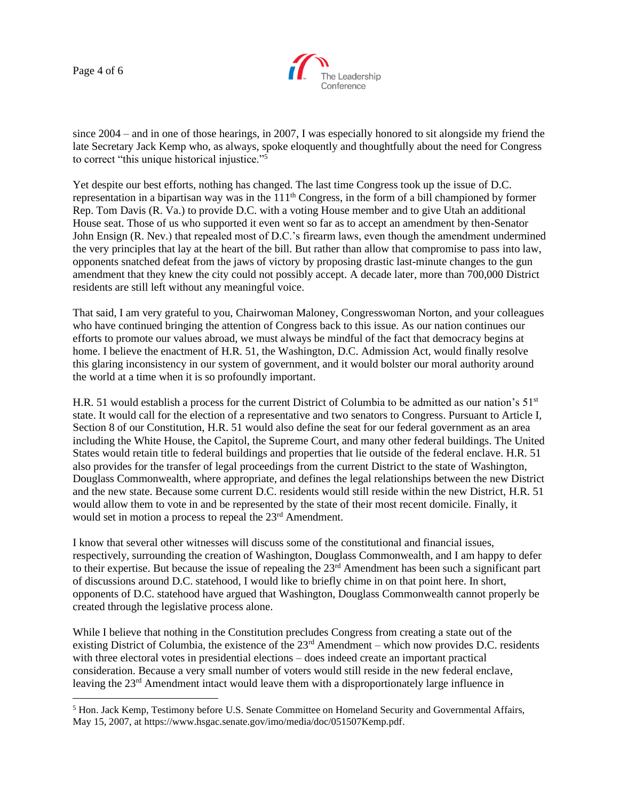Page 4 of 6



since 2004 – and in one of those hearings, in 2007, I was especially honored to sit alongside my friend the late Secretary Jack Kemp who, as always, spoke eloquently and thoughtfully about the need for Congress to correct "this unique historical injustice."<sup>5</sup>

Yet despite our best efforts, nothing has changed. The last time Congress took up the issue of D.C. representation in a bipartisan way was in the  $111<sup>th</sup>$  Congress, in the form of a bill championed by former Rep. Tom Davis (R. Va.) to provide D.C. with a voting House member and to give Utah an additional House seat. Those of us who supported it even went so far as to accept an amendment by then-Senator John Ensign (R. Nev.) that repealed most of D.C.'s firearm laws, even though the amendment undermined the very principles that lay at the heart of the bill. But rather than allow that compromise to pass into law, opponents snatched defeat from the jaws of victory by proposing drastic last-minute changes to the gun amendment that they knew the city could not possibly accept. A decade later, more than 700,000 District residents are still left without any meaningful voice.

That said, I am very grateful to you, Chairwoman Maloney, Congresswoman Norton, and your colleagues who have continued bringing the attention of Congress back to this issue. As our nation continues our efforts to promote our values abroad, we must always be mindful of the fact that democracy begins at home. I believe the enactment of H.R. 51, the Washington, D.C. Admission Act, would finally resolve this glaring inconsistency in our system of government, and it would bolster our moral authority around the world at a time when it is so profoundly important.

H.R. 51 would establish a process for the current District of Columbia to be admitted as our nation's 51<sup>st</sup> state. It would call for the election of a representative and two senators to Congress. Pursuant to Article I, Section 8 of our Constitution, H.R. 51 would also define the seat for our federal government as an area including the White House, the Capitol, the Supreme Court, and many other federal buildings. The United States would retain title to federal buildings and properties that lie outside of the federal enclave. H.R. 51 also provides for the transfer of legal proceedings from the current District to the state of Washington, Douglass Commonwealth, where appropriate, and defines the legal relationships between the new District and the new state. Because some current D.C. residents would still reside within the new District, H.R. 51 would allow them to vote in and be represented by the state of their most recent domicile. Finally, it would set in motion a process to repeal the 23<sup>rd</sup> Amendment.

I know that several other witnesses will discuss some of the constitutional and financial issues, respectively, surrounding the creation of Washington, Douglass Commonwealth, and I am happy to defer to their expertise. But because the issue of repealing the 23rd Amendment has been such a significant part of discussions around D.C. statehood, I would like to briefly chime in on that point here. In short, opponents of D.C. statehood have argued that Washington, Douglass Commonwealth cannot properly be created through the legislative process alone.

While I believe that nothing in the Constitution precludes Congress from creating a state out of the existing District of Columbia, the existence of the 23<sup>rd</sup> Amendment – which now provides D.C. residents with three electoral votes in presidential elections – does indeed create an important practical consideration. Because a very small number of voters would still reside in the new federal enclave, leaving the 23rd Amendment intact would leave them with a disproportionately large influence in

<sup>5</sup> Hon. Jack Kemp, Testimony before U.S. Senate Committee on Homeland Security and Governmental Affairs, May 15, 2007, at https://www.hsgac.senate.gov/imo/media/doc/051507Kemp.pdf.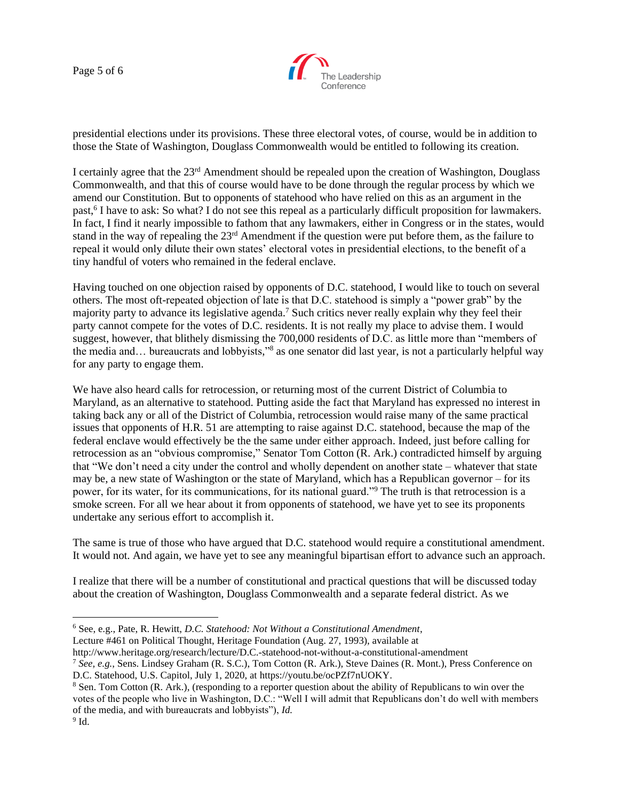Page 5 of 6



presidential elections under its provisions. These three electoral votes, of course, would be in addition to those the State of Washington, Douglass Commonwealth would be entitled to following its creation.

I certainly agree that the 23rd Amendment should be repealed upon the creation of Washington, Douglass Commonwealth, and that this of course would have to be done through the regular process by which we amend our Constitution. But to opponents of statehood who have relied on this as an argument in the past,<sup>6</sup> I have to ask: So what? I do not see this repeal as a particularly difficult proposition for lawmakers. In fact, I find it nearly impossible to fathom that any lawmakers, either in Congress or in the states, would stand in the way of repealing the 23rd Amendment if the question were put before them, as the failure to repeal it would only dilute their own states' electoral votes in presidential elections, to the benefit of a tiny handful of voters who remained in the federal enclave.

Having touched on one objection raised by opponents of D.C. statehood, I would like to touch on several others. The most oft-repeated objection of late is that D.C. statehood is simply a "power grab" by the majority party to advance its legislative agenda.<sup>7</sup> Such critics never really explain why they feel their party cannot compete for the votes of D.C. residents. It is not really my place to advise them. I would suggest, however, that blithely dismissing the 700,000 residents of D.C. as little more than "members of the media and... bureaucrats and lobbyists,"<sup>8</sup> as one senator did last year, is not a particularly helpful way for any party to engage them.

We have also heard calls for retrocession, or returning most of the current District of Columbia to Maryland, as an alternative to statehood. Putting aside the fact that Maryland has expressed no interest in taking back any or all of the District of Columbia, retrocession would raise many of the same practical issues that opponents of H.R. 51 are attempting to raise against D.C. statehood, because the map of the federal enclave would effectively be the the same under either approach. Indeed, just before calling for retrocession as an "obvious compromise," Senator Tom Cotton (R. Ark.) contradicted himself by arguing that "We don't need a city under the control and wholly dependent on another state – whatever that state may be, a new state of Washington or the state of Maryland, which has a Republican governor – for its power, for its water, for its communications, for its national guard."<sup>9</sup> The truth is that retrocession is a smoke screen. For all we hear about it from opponents of statehood, we have yet to see its proponents undertake any serious effort to accomplish it.

The same is true of those who have argued that D.C. statehood would require a constitutional amendment. It would not. And again, we have yet to see any meaningful bipartisan effort to advance such an approach.

I realize that there will be a number of constitutional and practical questions that will be discussed today about the creation of Washington, Douglass Commonwealth and a separate federal district. As we

Lecture #461 on Political Thought, Heritage Foundation (Aug. 27, 1993), available at

http://www.heritage.org/research/lecture/D.C.-statehood-not-without-a-constitutional-amendment

<sup>6</sup> See, e.g., Pate, R. Hewitt, *D.C. Statehood: Not Without a Constitutional Amendment*,

<sup>7</sup> *See, e.g.*, Sens. Lindsey Graham (R. S.C.), Tom Cotton (R. Ark.), Steve Daines (R. Mont.), Press Conference on D.C. Statehood, U.S. Capitol, July 1, 2020, at https://youtu.be/ocPZf7nUOKY.

<sup>&</sup>lt;sup>8</sup> Sen. Tom Cotton (R. Ark.), (responding to a reporter question about the ability of Republicans to win over the votes of the people who live in Washington, D.C.: "Well I will admit that Republicans don't do well with members of the media, and with bureaucrats and lobbyists"), *Id.*